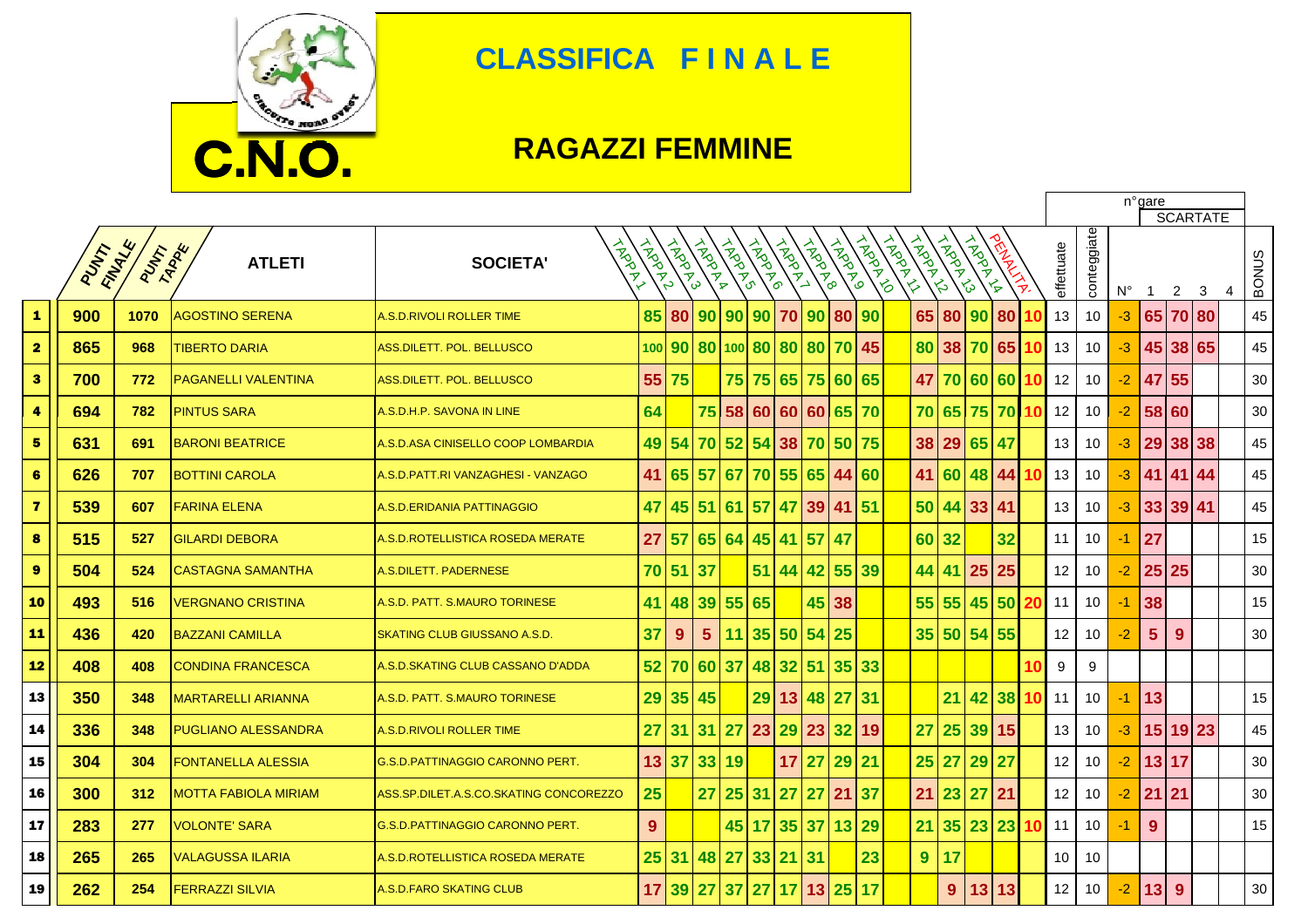

## **CLASSIFICA F I N A L E**

## **RAGAZZI FEMMINE**

|                         |      |                         |                             |                                         |                |               |                |        |                           |           |              |              |                    |                   |                                                                                                 |                    |                    | n°gare<br><b>SCARTATE</b> |    |                 |                 |             |                |          |   |   |              |
|-------------------------|------|-------------------------|-----------------------------|-----------------------------------------|----------------|---------------|----------------|--------|---------------------------|-----------|--------------|--------------|--------------------|-------------------|-------------------------------------------------------------------------------------------------|--------------------|--------------------|---------------------------|----|-----------------|-----------------|-------------|----------------|----------|---|---|--------------|
|                         | PUNT | FINANCE<br><b>PUTAR</b> | <b>ATLETI</b>               | <b>TROOK</b><br><b>SOCIETA'</b>         | LARANT         | <b>HARRYS</b> | <b>TROOP</b>   | LAPPOL | LANDON                    | LADDY     | <b>HAPPE</b> | <b>HADOL</b> | <b>IADAT</b><br>ی' | <b>HARRY</b><br>る | <b>HARD</b><br>$\breve{\varsigma}$<br>ントル しょうかん しゅうかん しゅうかん しゅうかん しゅうかん しゅうかん しゅうかん しゅうかん しゅうかい | <b>HARDER</b><br>౪ | <b>AMARY</b><br>∕≽ |                           |    | effettuate      | conteggiate     | $N^{\circ}$ | - 1            | 2        | 3 | 4 | <b>BONUS</b> |
| $\blacktriangle$        | 900  | 1070                    | <b>AGOSTINO SERENA</b>      | A.S.D.RIVOLI ROLLER TIME                | 85             |               |                |        | 80 90 90 90 70            |           | 90           | 80 90        |                    |                   | 65 80 90                                                                                        |                    |                    | 80                        |    | 13              | 10              | -3          |                | 65 70 80 |   |   | 45           |
| $\overline{\mathbf{2}}$ | 865  | 968                     | <b>TIBERTO DARIA</b>        | ASS DILETT. POL. BELLUSCO               |                |               |                |        | 100 90 80 100 80 80 80 70 |           |              |              | 45                 |                   | 80 38 70                                                                                        |                    |                    | 65                        |    | 13              | 10 <sup>°</sup> | $-3$        | 45             | 38 65    |   |   | 45           |
| $\bullet$               | 700  | 772                     | <b>PAGANELLI VALENTINA</b>  | ASS.DILETT. POL. BELLUSCO               | 55             | 75            |                |        | 75 75 65                  |           |              | 75 60 65     |                    |                   | 47 70 60                                                                                        |                    |                    | 60 10                     |    | 12              | 10              | $-2$        | 47             | 55       |   |   | 30           |
| 4                       | 694  | 782                     | <b>PINTUS SARA</b>          | A.S.D.H.P. SAVONA IN LINE               | 64             |               |                |        | 75 58 60 60               |           | 60           | 65 70        |                    |                   | 70 65 75 70                                                                                     |                    |                    |                           | 10 | 12              | 10              | $-2$        | 58 60          |          |   |   | 30           |
| 5                       | 631  | 691                     | <b>BARONI BEATRICE</b>      | A.S.D.ASA CINISELLO COOP LOMBARDIA      | 49             | 54            |                | 70 52  | 54 38                     |           | 70           | 50 75        |                    |                   | 38 29 65 47                                                                                     |                    |                    |                           |    | 13              | 10              | $-3$        | 29             | 38 38    |   |   | 45           |
| 6                       | 626  | 707                     | <b>BOTTINI CAROLA</b>       | A.S.D. PATT.RI VANZAGHESI - VANZAGO     | 41             |               | 65 57          | 67     | 70 55                     |           | 65           | 44 60        |                    |                   | 41 60                                                                                           |                    | 48                 | 44 10                     |    | 13              | 10              | -3          |                | 41 41 44 |   |   | 45           |
| $\overline{\mathbf{z}}$ | 539  | 607                     | <b>FARINA ELENA</b>         | A.S.D.ERIDANIA PATTINAGGIO              | 47             |               | 45 51          | 61     | 57                        | <b>47</b> | 39           | 41 51        |                    |                   | 50 44                                                                                           |                    | 33 41              |                           |    | 13              | 10              | -3          |                | 33 39 41 |   |   | 45           |
| $\bf{8}$                | 515  | 527                     | <b>GILARDI DEBORA</b>       | A.S.D.ROTELLISTICA ROSEDA MERATE        | 27             | 57            | 65 64          |        | 45 41                     |           | 57           | 47           |                    |                   | 60 32                                                                                           |                    |                    | 32                        |    | 11              | 10 <sup>°</sup> | -1          | 27             |          |   |   | 15           |
| $\pmb{9}$               | 504  | 524                     | <b>CASTAGNA SAMANTHA</b>    | A.S.DILETT. PADERNESE                   | 70             | 51            | 37             |        | 51 44                     |           | 42           | 55 39        |                    |                   | 44 41                                                                                           |                    | 25                 | 25                        |    | 12              | 10 <sup>°</sup> | $-2$        | 25 25          |          |   |   | 30           |
| ${\bf 10}$              | 493  | 516                     | <b>VERGNANO CRISTINA</b>    | A.S.D. PATT. S.MAURO TORINESE           | 41             | 48            | 39 55          |        | 65                        |           |              | 45 38        |                    |                   | 55 55                                                                                           |                    | 45                 | <b>50</b>                 |    | 11              | 10              | -1          | 38             |          |   |   | 15           |
| 11                      | 436  | 420                     | <b>BAZZANI CAMILLA</b>      | SKATING CLUB GIUSSANO A.S.D.            | 37             | 9             | 5 <sup>5</sup> | 11     | 35                        | 50        | 54           | 25           |                    |                   | 35 50 54 55                                                                                     |                    |                    |                           |    | 12              | 10 <sup>°</sup> | $-2$        | $5\phantom{1}$ | 9        |   |   | 30           |
| 12                      | 408  | 408                     | <b>CONDINA FRANCESCA</b>    | A.S.D.SKATING CLUB CASSANO D'ADDA       | 52             | 70            | 60 37          |        | 48                        | 32        | 51           | 35 33        |                    |                   |                                                                                                 |                    |                    |                           | 10 | 9               | 9               |             |                |          |   |   |              |
| 13                      | 350  | 348                     | <b>MARTARELLI ARIANNA</b>   | A.S.D. PATT. S.MAURO TORINESE           | 29             |               | 35 45          |        |                           | 29 13     | 48           | 27           | 31                 |                   |                                                                                                 | 21                 | 42 38 10           |                           |    | 11              | 10              | -1          | 13             |          |   |   | 15           |
| 14                      | 336  | 348                     | <b>PUGLIANO ALESSANDRA</b>  | A.S.D.RIVOLI ROLLER TIME                | 27             | 31            | 31             | 27     | 23 29                     |           | 23           | 32           | 19                 |                   | 27                                                                                              | 25 39 15           |                    |                           |    | 13              | 10              | -3          |                | 15 19 23 |   |   | 45           |
| 15                      | 304  | 304                     | <b>FONTANELLA ALESSIA</b>   | <b>G.S.D. PATTINAGGIO CARONNO PERT.</b> | 13             | 37            | 33 19          |        |                           | 17        | 27           | 29 21        |                    |                   | 25 27                                                                                           |                    | 29 27              |                           |    | 12              | 10 <sup>°</sup> | $-2$        | 13 17          |          |   |   | 30           |
| 16                      | 300  | 312                     | <b>MOTTA FABIOLA MIRIAM</b> | ASS.SP.DILET.A.S.CO.SKATING CONCOREZZO  | 25             |               | 27             |        | 25 31 27                  |           | 27           | 21 37        |                    |                   | $21 \overline{\smash{)}23 \overline{\smash{)}}27}$                                              |                    |                    | 21                        |    | 12              | 10              | $-2$        | 21             | 21       |   |   | 30           |
| 17                      | 283  | 277                     | <b>VOLONTE' SARA</b>        | G.S.D. PATTINAGGIO CARONNO PERT.        | 9 <sup>°</sup> |               |                | 45     | 17                        | 35        | 37           | 13           | 29                 |                   | 21                                                                                              | 35                 | 23                 | 23 10                     |    | 11              | 10 <sup>°</sup> | -1          | 9              |          |   |   | 15           |
| 18                      | 265  | 265                     | <b>VALAGUSSA ILARIA</b>     | A.S.D.ROTELLISTICA ROSEDA MERATE        | 25             |               | 31   48        | 27     | 33 21                     |           | 31           |              | 23                 |                   | 9                                                                                               | 17                 |                    |                           |    | 10 <sup>1</sup> | 10              |             |                |          |   |   |              |
| 19                      | 262  | 254                     | <b>FERRAZZI SILVIA</b>      | A.S.D.FARO SKATING CLUB                 | 17             |               | 39 27          |        | 37 27 17                  |           |              | 13 25 17     |                    |                   |                                                                                                 | 9                  | 13                 | 13                        |    | 12              | 10              | -2          | 13             | 9        |   |   | 30           |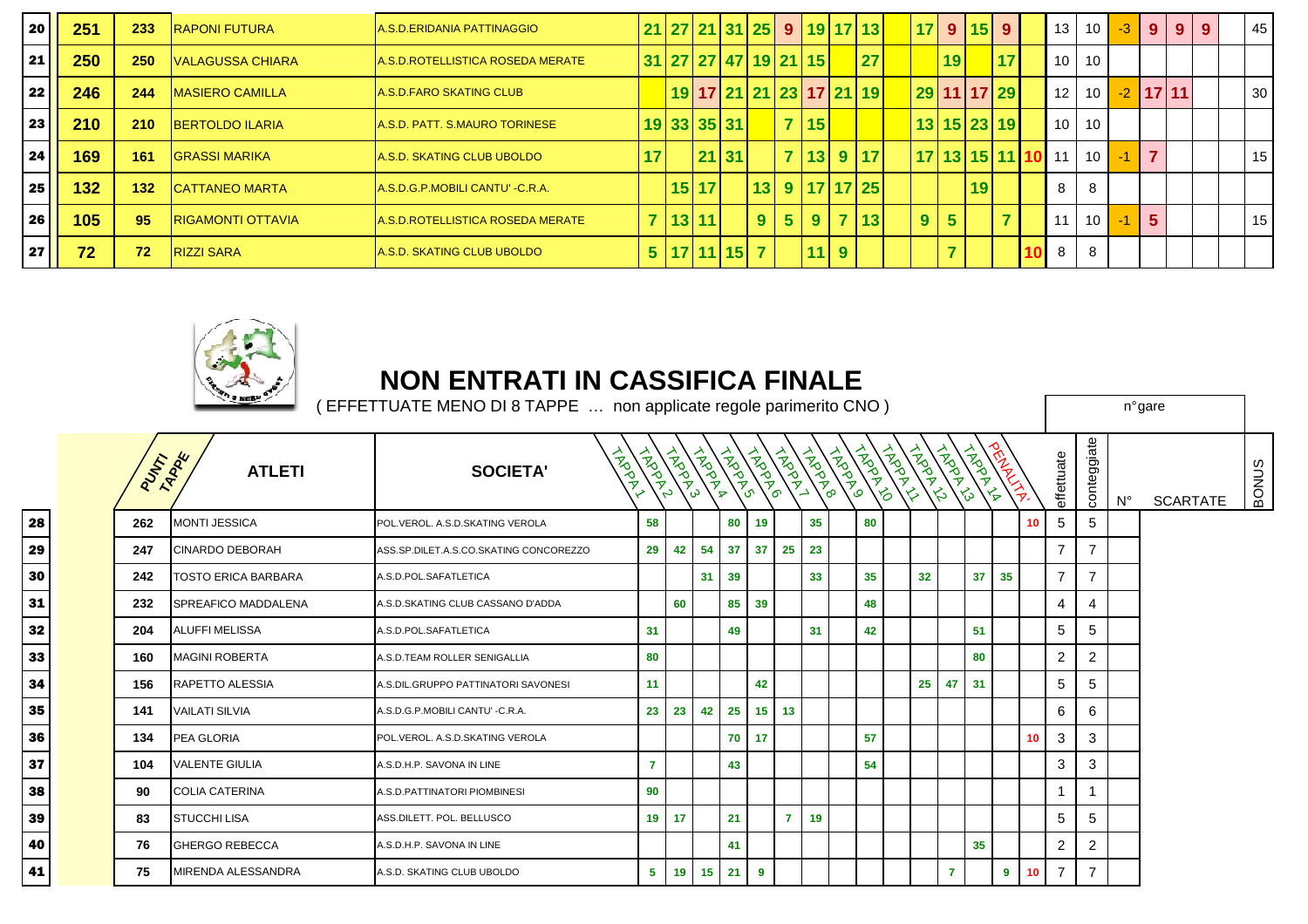| 20 | 251 | 233   | <b>RAPONI FUTURA</b>      | A.S.D.ERIDANIA PATTINAGGIO       |    |         |              |                |                      | 21 27 21 31 25 9 19 17 13 |                | 17 9 15 9   |    |    |                 | $13$ 10              | $-3$ | 9 <sup>1</sup> |            | $9 \mid 9$ | 45              |
|----|-----|-------|---------------------------|----------------------------------|----|---------|--------------|----------------|----------------------|---------------------------|----------------|-------------|----|----|-----------------|----------------------|------|----------------|------------|------------|-----------------|
| 21 | 250 | 250   | <b>IVALAGUSSA CHIARA</b>  | A.S.D.ROTELLISTICA ROSEDA MERATE |    |         |              |                | 31 27 27 47 19 21 15 | 27                        |                | 19          |    | 17 |                 | $10 \mid 10 \mid$    |      |                |            |            |                 |
| 22 | 246 | 244   | <b>IMASIERO CAMILLA</b>   | A.S.D.FARO SKATING CLUB          |    |         |              |                |                      | 19 17 21 21 23 17 21 19   |                | 29 11 17 29 |    |    | 12 <sub>1</sub> | 10 <sup>1</sup>      |      |                | $-2$ 17 11 |            | 30 <sub>1</sub> |
| 23 | 210 | 210   | <b>BERTOLDO ILARIA</b>    | A.S.D. PATT. S.MAURO TORINESE    |    |         | 19 33 35 31  |                | 7 15                 |                           |                | 13 15 23 19 |    |    |                 | 10 10                |      |                |            |            |                 |
| 24 | 169 | 161   | <b>IGRASSI MARIKA</b>     | A.S.D. SKATING CLUB UBOLDO       | 17 |         | 21 31        |                |                      | 7 13 9 17                 |                |             |    |    |                 | 17 13 15 11 10 11 10 | $-1$ |                |            |            | 15 <sup>1</sup> |
| 25 | 132 | $132$ | <b>ICATTANEO MARTA</b>    | A.S.D.G.P.MOBILI CANTU' -C.R.A.  |    | 15 17   |              |                |                      | 13 9 17 17 25             |                |             | 19 |    | 8               | 8                    |      |                |            |            |                 |
| 26 | 105 | 95    | <b>IRIGAMONTI OTTAVIA</b> | A.S.D.ROTELLISTICA ROSEDA MERATE |    | 7 13 11 |              | 9 <sup>1</sup> |                      | 5 9 7 13                  | 9 <sup>1</sup> | 5           |    |    | 11              | $10 -$               |      | 5.             |            |            | 15 <sup>1</sup> |
| 27 | 72  | 72    | <b>RIZZI SARA</b>         | A.S.D. SKATING CLUB UBOLDO       |    |         | 5 17 11 15 7 |                | $11$ 9               |                           |                |             |    |    | 8               | 8                    |      |                |            |            |                 |



## **NON ENTRATI IN CASSIFICA FINALE**

|   | $\sim$ and $\sim$<br>EFFETTUATE MENO DI 8 TAPPE  non applicate regole parimerito CNO ) |         |                            |                                        |                |    |          |               |                 |                |    |                                                                                                                                                                                                                                                                                                                                                                                                                                 |    |               | n°gare |              |                       |               |    |                |                |             |                 |              |
|---|----------------------------------------------------------------------------------------|---------|----------------------------|----------------------------------------|----------------|----|----------|---------------|-----------------|----------------|----|---------------------------------------------------------------------------------------------------------------------------------------------------------------------------------------------------------------------------------------------------------------------------------------------------------------------------------------------------------------------------------------------------------------------------------|----|---------------|--------|--------------|-----------------------|---------------|----|----------------|----------------|-------------|-----------------|--------------|
|   |                                                                                        | PUTTARK | <b>ATLETI</b>              | ADDR<br><b>SOCIETA'</b>                | FRONTON        |    |          |               |                 |                |    | $\begin{pmatrix} \frac{1}{2} & \frac{1}{2} & \frac{1}{2} \\ \frac{1}{2} & \frac{1}{2} & \frac{1}{2} \\ \frac{1}{2} & \frac{1}{2} & \frac{1}{2} \end{pmatrix} \begin{pmatrix} \frac{1}{2} & \frac{1}{2} & \frac{1}{2} \\ \frac{1}{2} & \frac{1}{2} & \frac{1}{2} \\ \frac{1}{2} & \frac{1}{2} & \frac{1}{2} \end{pmatrix} \begin{pmatrix} \frac{1}{2} & \frac{1}{2} & \frac{1}{2} \\ \frac{1}{2} & \frac{1}{2} & \frac{1}{2} \\$ |    | $\frac{2}{3}$ |        | <b>ANADO</b> | <b>HARRY AND READ</b> | <b>WANTER</b> |    | effettuate     | conteggiate    | $N^{\circ}$ | <b>SCARTATE</b> | <b>BONUS</b> |
|   |                                                                                        | 262     | <b>MONTI JESSICA</b>       | POL.VEROL. A.S.D.SKATING VEROLA        | 58             |    |          | 80            | 19              |                | 35 |                                                                                                                                                                                                                                                                                                                                                                                                                                 | 80 |               |        |              |                       |               | 10 | 5              | 5              |             |                 |              |
| 9 |                                                                                        | 247     | <b>CINARDO DEBORAH</b>     | ASS.SP.DILET.A.S.CO.SKATING CONCOREZZO | 29             |    | 42 54    | 37            | 37              | 25             | 23 |                                                                                                                                                                                                                                                                                                                                                                                                                                 |    |               |        |              |                       |               |    | $\overline{7}$ | $\overline{7}$ |             |                 |              |
| 0 |                                                                                        | 242     | <b>TOSTO ERICA BARBARA</b> | A.S.D.POL.SAFATLETICA                  |                |    |          | $31 \quad 39$ |                 |                | 33 |                                                                                                                                                                                                                                                                                                                                                                                                                                 | 35 |               | 32     |              | 37 <sup>2</sup>       | 35            |    | $\overline{7}$ | $\overline{7}$ |             |                 |              |
|   |                                                                                        | 232     | SPREAFICO MADDALENA        | A.S.D.SKATING CLUB CASSANO D'ADDA      |                | 60 |          | 85            | 39              |                |    |                                                                                                                                                                                                                                                                                                                                                                                                                                 | 48 |               |        |              |                       |               |    | 4              | 4              |             |                 |              |
|   |                                                                                        | 204     | <b>ALUFFI MELISSA</b>      | A.S.D.POL.SAFATLETICA                  | 31             |    |          | 49            |                 |                | 31 |                                                                                                                                                                                                                                                                                                                                                                                                                                 | 42 |               |        |              | 51                    |               |    | 5              | 5              |             |                 |              |
|   |                                                                                        | 160     | <b>MAGINI ROBERTA</b>      | A.S.D.TEAM ROLLER SENIGALLIA           | 80             |    |          |               |                 |                |    |                                                                                                                                                                                                                                                                                                                                                                                                                                 |    |               |        |              | 80                    |               |    | 2              | 2              |             |                 |              |
|   |                                                                                        | 156     | RAPETTO ALESSIA            | A.S.DIL.GRUPPO PATTINATORI SAVONESI    | 11             |    |          |               | 42              |                |    |                                                                                                                                                                                                                                                                                                                                                                                                                                 |    |               | 25 47  |              | 31                    |               |    | 5              | 5              |             |                 |              |
|   |                                                                                        | 141     | <b>VAILATI SILVIA</b>      | A.S.D.G.P.MOBILI CANTU' -C.R.A.        | 23             | 23 | 42       | 25            | 15 <sub>1</sub> | 13             |    |                                                                                                                                                                                                                                                                                                                                                                                                                                 |    |               |        |              |                       |               |    | 6              | 6              |             |                 |              |
|   |                                                                                        | 134     | PEA GLORIA                 | POL.VEROL. A.S.D.SKATING VEROLA        |                |    |          | 70            | 17              |                |    |                                                                                                                                                                                                                                                                                                                                                                                                                                 | 57 |               |        |              |                       |               | 10 | 3              | 3              |             |                 |              |
|   |                                                                                        | 104     | <b>VALENTE GIULIA</b>      | A.S.D.H.P. SAVONA IN LINE              | $\overline{7}$ |    |          | 43            |                 |                |    |                                                                                                                                                                                                                                                                                                                                                                                                                                 | 54 |               |        |              |                       |               |    | 3              | 3              |             |                 |              |
|   |                                                                                        | 90      | <b>COLIA CATERINA</b>      | A.S.D.PATTINATORI PIOMBINESI           | 90             |    |          |               |                 |                |    |                                                                                                                                                                                                                                                                                                                                                                                                                                 |    |               |        |              |                       |               |    |                |                |             |                 |              |
| 9 |                                                                                        | 83      | <b>STUCCHI LISA</b>        | ASS.DILETT. POL. BELLUSCO              | 19             | 17 |          | 21            |                 | $\overline{7}$ | 19 |                                                                                                                                                                                                                                                                                                                                                                                                                                 |    |               |        |              |                       |               |    | 5              | 5              |             |                 |              |
|   |                                                                                        | 76      | <b>GHERGO REBECCA</b>      | A.S.D.H.P. SAVONA IN LINE              |                |    |          | 41            |                 |                |    |                                                                                                                                                                                                                                                                                                                                                                                                                                 |    |               |        |              | 35                    |               |    | 2              | 2              |             |                 |              |
|   |                                                                                        | 75      | <b>MIRENDA ALESSANDRA</b>  | A.S.D. SKATING CLUB UBOLDO             | 5 <sup>1</sup> |    | 19 15 21 |               | 9               |                |    |                                                                                                                                                                                                                                                                                                                                                                                                                                 |    |               |        | 7            |                       | 9             | 10 | $\overline{7}$ | $\overline{7}$ |             |                 |              |

28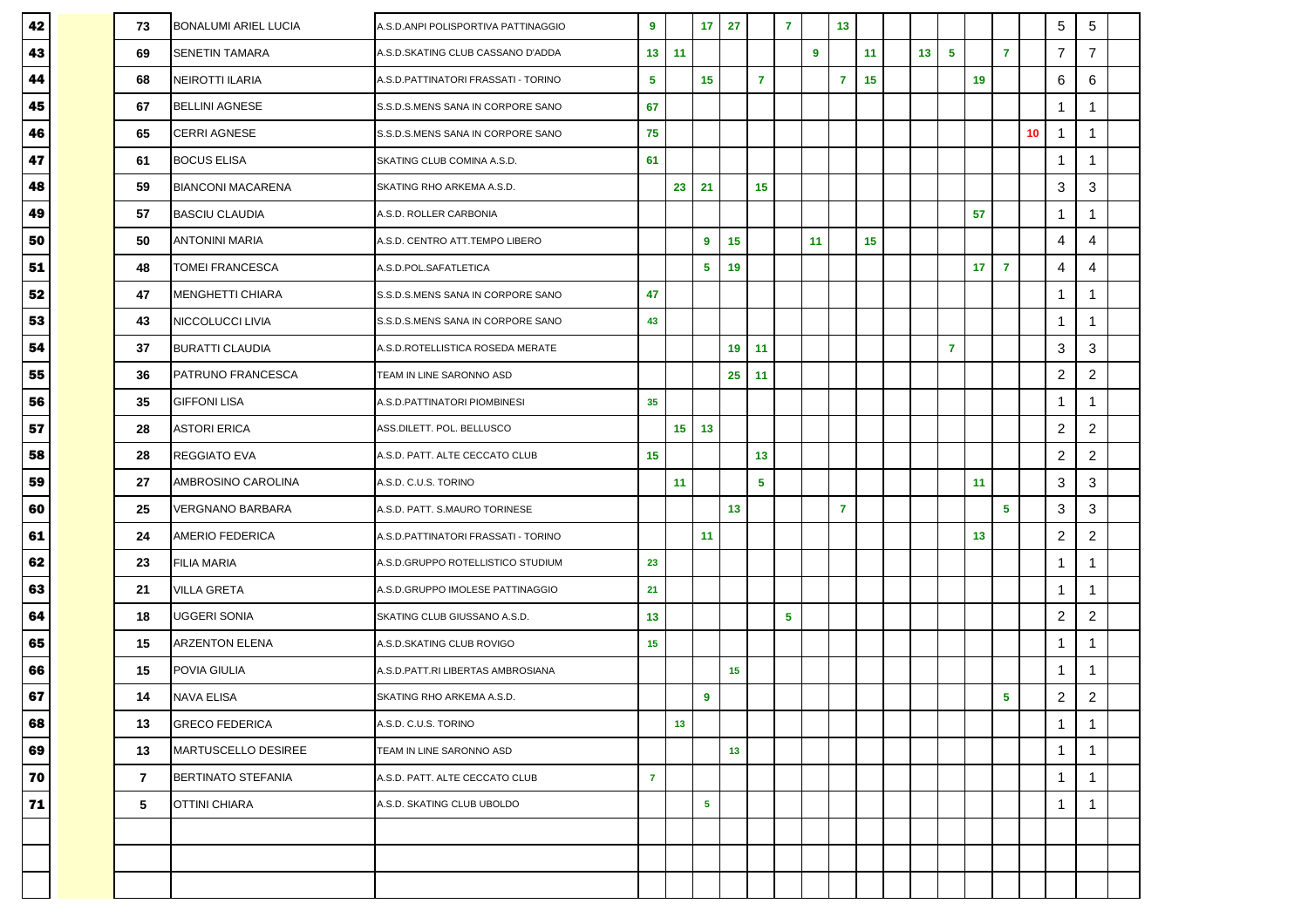| 42 | 73 | <b>BONALUMI ARIEL LUCIA</b> | A.S.D.ANPI POLISPORTIVA PATTINAGGIO | $\boldsymbol{9}$ |                 | 17             | 27 |                | $\overline{7}$ |    | 13             |    |                 |                |    |                |    | 5                | 5                         |  |
|----|----|-----------------------------|-------------------------------------|------------------|-----------------|----------------|----|----------------|----------------|----|----------------|----|-----------------|----------------|----|----------------|----|------------------|---------------------------|--|
| 43 | 69 | <b>SENETIN TAMARA</b>       | A.S.D.SKATING CLUB CASSANO D'ADDA   | 13               | 11              |                |    |                |                | 9  |                | 11 | 13 <sub>1</sub> | -5             |    | $\overline{7}$ |    | $\overline{7}$   | $\overline{7}$            |  |
| 44 | 68 | NEIROTTI ILARIA             | A.S.D.PATTINATORI FRASSATI - TORINO | 5                |                 | 15             |    | $\overline{7}$ |                |    | $\overline{7}$ | 15 |                 |                | 19 |                |    | 6                | 6                         |  |
| 45 | 67 | <b>BELLINI AGNESE</b>       | S.S.D.S.MENS SANA IN CORPORE SANO   | 67               |                 |                |    |                |                |    |                |    |                 |                |    |                |    | $\mathbf{1}$     | -1                        |  |
| 46 | 65 | <b>CERRI AGNESE</b>         | S.S.D.S.MENS SANA IN CORPORE SANO   | 75               |                 |                |    |                |                |    |                |    |                 |                |    |                | 10 | $\mathbf{1}$     | $\mathbf 1$               |  |
| 47 | 61 | <b>BOCUS ELISA</b>          | SKATING CLUB COMINA A.S.D.          | 61               |                 |                |    |                |                |    |                |    |                 |                |    |                |    | $\mathbf{1}$     | $\mathbf 1$               |  |
| 48 | 59 | <b>BIANCONI MACARENA</b>    | SKATING RHO ARKEMA A.S.D.           |                  | 23              | 21             |    | 15             |                |    |                |    |                 |                |    |                |    | 3                | 3                         |  |
| 49 | 57 | <b>BASCIU CLAUDIA</b>       | A.S.D. ROLLER CARBONIA              |                  |                 |                |    |                |                |    |                |    |                 |                | 57 |                |    | $\mathbf{1}$     | $\mathbf 1$               |  |
| 50 | 50 | <b>ANTONINI MARIA</b>       | A.S.D. CENTRO ATT.TEMPO LIBERO      |                  |                 | 9              | 15 |                |                | 11 |                | 15 |                 |                |    |                |    | 4                | $\overline{4}$            |  |
| 51 | 48 | <b>TOMEI FRANCESCA</b>      | A.S.D.POL.SAFATLETICA               |                  |                 | $\sqrt{5}$     | 19 |                |                |    |                |    |                 |                | 17 | $\overline{7}$ |    | 4                | 4                         |  |
| 52 | 47 | <b>MENGHETTI CHIARA</b>     | S.S.D.S.MENS SANA IN CORPORE SANO   | 47               |                 |                |    |                |                |    |                |    |                 |                |    |                |    | $\mathbf{1}$     |                           |  |
| 53 | 43 | NICCOLUCCI LIVIA            | S.S.D.S.MENS SANA IN CORPORE SANO   | 43               |                 |                |    |                |                |    |                |    |                 |                |    |                |    | $\mathbf{1}$     | $\overline{\mathbf{1}}$   |  |
| 54 | 37 | <b>BURATTI CLAUDIA</b>      | A.S.D.ROTELLISTICA ROSEDA MERATE    |                  |                 |                | 19 | 11             |                |    |                |    |                 | $\overline{7}$ |    |                |    | 3                | 3                         |  |
| 55 | 36 | PATRUNO FRANCESCA           | TEAM IN LINE SARONNO ASD            |                  |                 |                | 25 | 11             |                |    |                |    |                 |                |    |                |    | $\boldsymbol{2}$ | $\sqrt{2}$                |  |
| 56 | 35 | <b>GIFFONI LISA</b>         | A.S.D.PATTINATORI PIOMBINESI        | 35               |                 |                |    |                |                |    |                |    |                 |                |    |                |    | $\mathbf{1}$     | -1                        |  |
| 57 | 28 | <b>ASTORI ERICA</b>         | ASS.DILETT. POL. BELLUSCO           |                  | 15 <sub>1</sub> | 13             |    |                |                |    |                |    |                 |                |    |                |    | $\overline{2}$   | $\sqrt{2}$                |  |
| 58 | 28 | <b>REGGIATO EVA</b>         | A.S.D. PATT. ALTE CECCATO CLUB      | 15               |                 |                |    | 13             |                |    |                |    |                 |                |    |                |    | $\overline{2}$   | $\mathbf{2}$              |  |
| 59 | 27 | AMBROSINO CAROLINA          | A.S.D. C.U.S. TORINO                |                  | 11              |                |    | 5              |                |    |                |    |                 |                | 11 |                |    | 3                | $\ensuremath{\mathsf{3}}$ |  |
| 60 | 25 | VERGNANO BARBARA            | A.S.D. PATT. S.MAURO TORINESE       |                  |                 |                | 13 |                |                |    | $\overline{7}$ |    |                 |                |    | 5              |    | 3                | 3                         |  |
| 61 | 24 | <b>AMERIO FEDERICA</b>      | A.S.D.PATTINATORI FRASSATI - TORINO |                  |                 | 11             |    |                |                |    |                |    |                 |                | 13 |                |    | $\overline{2}$   | $\overline{2}$            |  |
| 62 | 23 | <b>FILIA MARIA</b>          | A.S.D.GRUPPO ROTELLISTICO STUDIUM   | 23               |                 |                |    |                |                |    |                |    |                 |                |    |                |    | $\mathbf{1}$     | $\mathbf 1$               |  |
| 63 | 21 | <b>VILLA GRETA</b>          | A.S.D.GRUPPO IMOLESE PATTINAGGIO    | 21               |                 |                |    |                |                |    |                |    |                 |                |    |                |    | $\mathbf{1}$     | -1                        |  |
| 64 | 18 | <b>UGGERI SONIA</b>         | SKATING CLUB GIUSSANO A.S.D.        | 13               |                 |                |    |                | $\sqrt{5}$     |    |                |    |                 |                |    |                |    | $\overline{c}$   | $\overline{2}$            |  |
| 65 | 15 | <b>ARZENTON ELENA</b>       | A.S.D.SKATING CLUB ROVIGO           | 15               |                 |                |    |                |                |    |                |    |                 |                |    |                |    | $\mathbf{1}$     | $\mathbf 1$               |  |
| 66 | 15 | POVIA GIULIA                | A.S.D.PATT.RI LIBERTAS AMBROSIANA   |                  |                 |                | 15 |                |                |    |                |    |                 |                |    |                |    | $\mathbf{1}$     | -1                        |  |
| 67 | 14 | <b>NAVA ELISA</b>           | SKATING RHO ARKEMA A.S.D.           |                  |                 | $\overline{9}$ |    |                |                |    |                |    |                 |                |    | 5              |    | $\boldsymbol{2}$ | $\sqrt{2}$                |  |
| 68 | 13 | <b>GRECO FEDERICA</b>       | A.S.D. C.U.S. TORINO                |                  | 13              |                |    |                |                |    |                |    |                 |                |    |                |    | $\mathbf{1}$     |                           |  |
| 69 | 13 | MARTUSCELLO DESIREE         | TEAM IN LINE SARONNO ASD            |                  |                 |                | 13 |                |                |    |                |    |                 |                |    |                |    | $\mathbf{1}$     | $\mathbf 1$               |  |
| 70 | 7  | <b>BERTINATO STEFANIA</b>   | A.S.D. PATT. ALTE CECCATO CLUB      | $\overline{7}$   |                 |                |    |                |                |    |                |    |                 |                |    |                |    | $\mathbf{1}$     | $\mathbf 1$               |  |
| 71 | 5  | OTTINI CHIARA               | A.S.D. SKATING CLUB UBOLDO          |                  |                 | $\sqrt{5}$     |    |                |                |    |                |    |                 |                |    |                |    | $\mathbf{1}$     | $\mathbf 1$               |  |
|    |    |                             |                                     |                  |                 |                |    |                |                |    |                |    |                 |                |    |                |    |                  |                           |  |
|    |    |                             |                                     |                  |                 |                |    |                |                |    |                |    |                 |                |    |                |    |                  |                           |  |
|    |    |                             |                                     |                  |                 |                |    |                |                |    |                |    |                 |                |    |                |    |                  |                           |  |